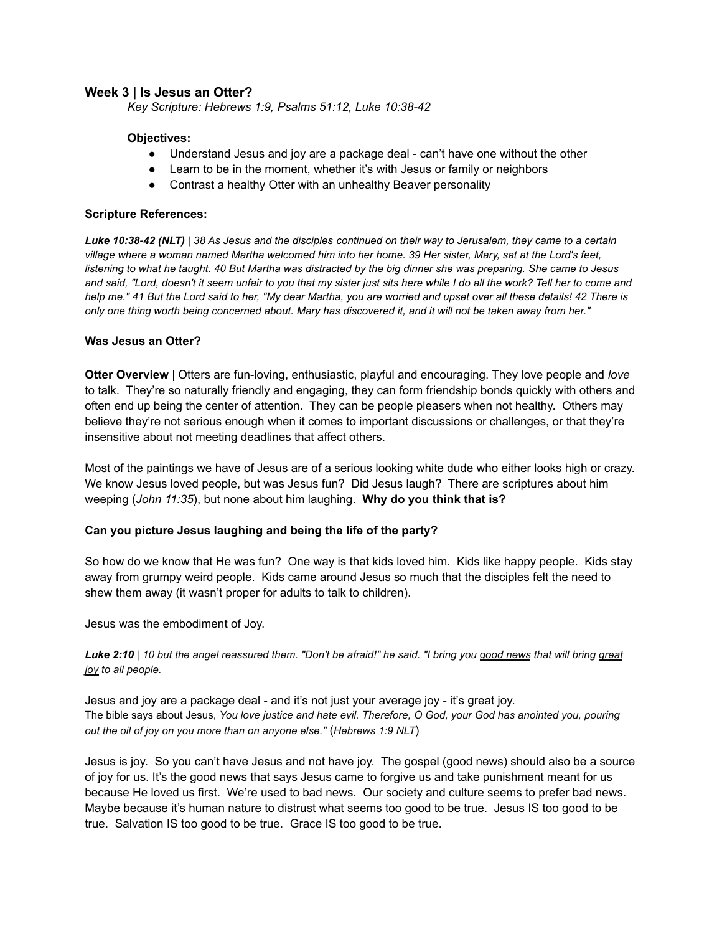# **Week 3 | Is Jesus an Otter?**

*Key Scripture: Hebrews 1:9, Psalms 51:12, Luke 10:38-42*

### **Objectives:**

- Understand Jesus and joy are a package deal can't have one without the other
- Learn to be in the moment, whether it's with Jesus or family or neighbors
- Contrast a healthy Otter with an unhealthy Beaver personality

### **Scripture References:**

*Luke 10:38-42 (NLT) | 38 As Jesus and the disciples continued on their way to Jerusalem, they came to a certain village where a woman named Martha welcomed him into her home. 39 Her sister, Mary, sat at the Lord's feet, listening to what he taught. 40 But Martha was distracted by the big dinner she was preparing. She came to Jesus and said, "Lord, doesn't it seem unfair to you that my sister just sits here while I do all the work? Tell her to come and help me." 41 But the Lord said to her, "My dear Martha, you are worried and upset over all these details! 42 There is only one thing worth being concerned about. Mary has discovered it, and it will not be taken away from her."*

#### **Was Jesus an Otter?**

**Otter Overview** | Otters are fun-loving, enthusiastic, playful and encouraging. They love people and *love* to talk. They're so naturally friendly and engaging, they can form friendship bonds quickly with others and often end up being the center of attention. They can be people pleasers when not healthy. Others may believe they're not serious enough when it comes to important discussions or challenges, or that they're insensitive about not meeting deadlines that affect others.

Most of the paintings we have of Jesus are of a serious looking white dude who either looks high or crazy. We know Jesus loved people, but was Jesus fun? Did Jesus laugh? There are scriptures about him weeping (*John 11:35*), but none about him laughing. **Why do you think that is?**

### **Can you picture Jesus laughing and being the life of the party?**

So how do we know that He was fun? One way is that kids loved him. Kids like happy people. Kids stay away from grumpy weird people. Kids came around Jesus so much that the disciples felt the need to shew them away (it wasn't proper for adults to talk to children).

Jesus was the embodiment of Joy.

### *Luke 2:10 | 10 but the angel reassured them. "Don't be afraid!" he said. "I bring you good news that will bring great joy to all people.*

Jesus and joy are a package deal - and it's not just your average joy - it's great joy. The bible says about Jesus, *You love justice and hate evil. Therefore, O God, your God has anointed you, pouring out the oil of joy on you more than on anyone else."* (*Hebrews 1:9 NLT*)

Jesus is joy. So you can't have Jesus and not have joy. The gospel (good news) should also be a source of joy for us. It's the good news that says Jesus came to forgive us and take punishment meant for us because He loved us first. We're used to bad news. Our society and culture seems to prefer bad news. Maybe because it's human nature to distrust what seems too good to be true. Jesus IS too good to be true. Salvation IS too good to be true. Grace IS too good to be true.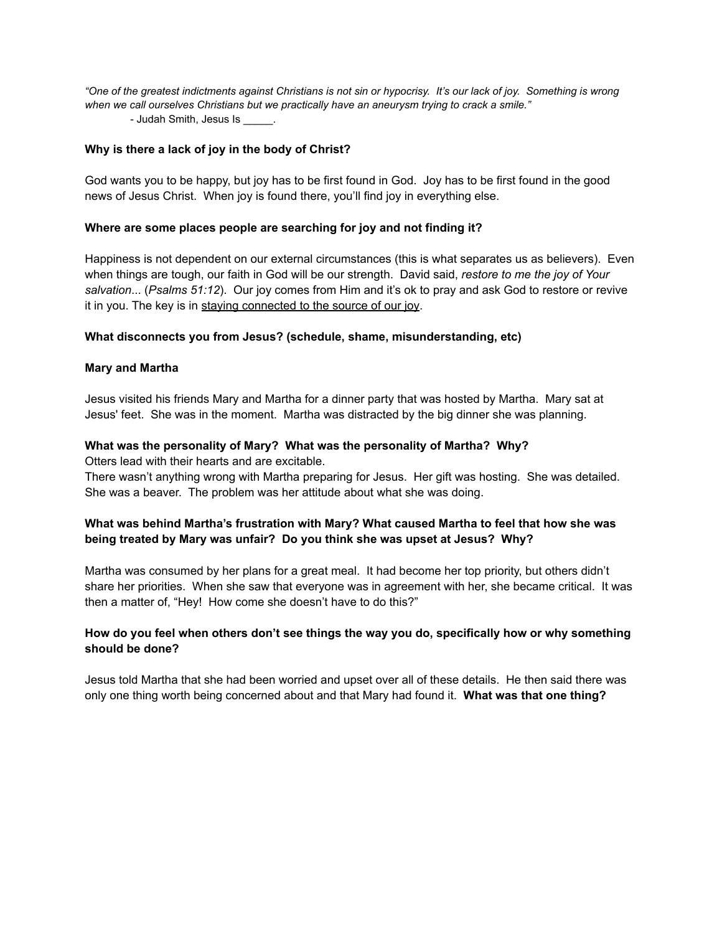*"One of the greatest indictments against Christians is not sin or hypocrisy. It's our lack of joy. Something is wrong when we call ourselves Christians but we practically have an aneurysm trying to crack a smile."* - Judah Smith, Jesus Is .

# **Why is there a lack of joy in the body of Christ?**

God wants you to be happy, but joy has to be first found in God. Joy has to be first found in the good news of Jesus Christ. When joy is found there, you'll find joy in everything else.

# **Where are some places people are searching for joy and not finding it?**

Happiness is not dependent on our external circumstances (this is what separates us as believers). Even when things are tough, our faith in God will be our strength. David said, *restore to me the joy of Your salvation*... (*Psalms 51:12*). Our joy comes from Him and it's ok to pray and ask God to restore or revive it in you. The key is in staying connected to the source of our joy.

## **What disconnects you from Jesus? (schedule, shame, misunderstanding, etc)**

## **Mary and Martha**

Jesus visited his friends Mary and Martha for a dinner party that was hosted by Martha. Mary sat at Jesus' feet. She was in the moment. Martha was distracted by the big dinner she was planning.

## **What was the personality of Mary? What was the personality of Martha? Why?**

Otters lead with their hearts and are excitable.

There wasn't anything wrong with Martha preparing for Jesus. Her gift was hosting. She was detailed. She was a beaver. The problem was her attitude about what she was doing.

# **What was behind Martha's frustration with Mary? What caused Martha to feel that how she was being treated by Mary was unfair? Do you think she was upset at Jesus? Why?**

Martha was consumed by her plans for a great meal. It had become her top priority, but others didn't share her priorities. When she saw that everyone was in agreement with her, she became critical. It was then a matter of, "Hey! How come she doesn't have to do this?"

# **How do you feel when others don't see things the way you do, specifically how or why something should be done?**

Jesus told Martha that she had been worried and upset over all of these details. He then said there was only one thing worth being concerned about and that Mary had found it. **What was that one thing?**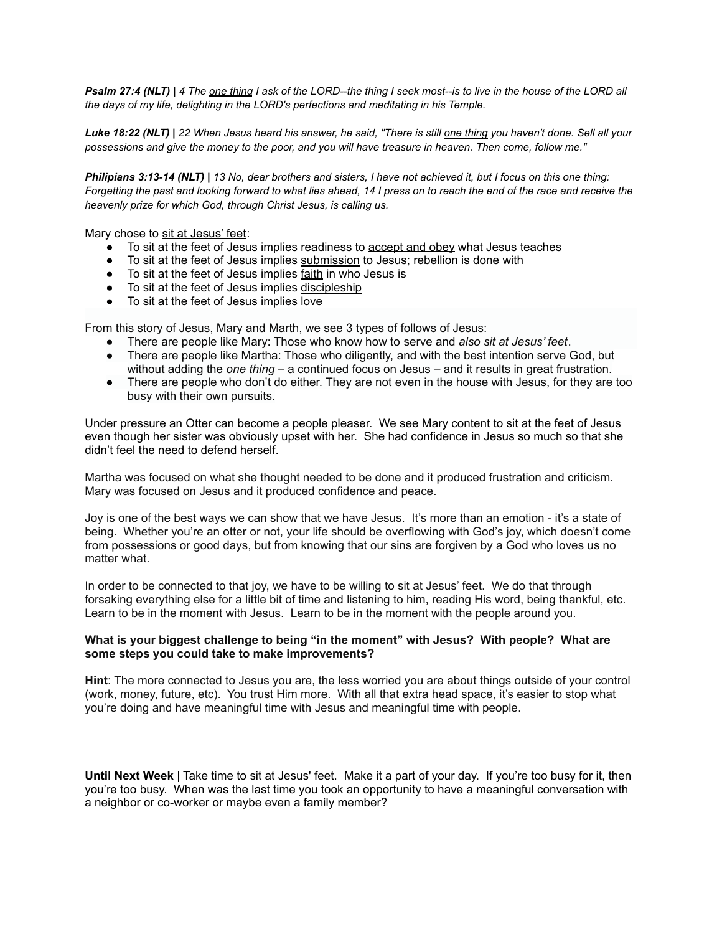*Psalm 27:4 (NLT) | 4 The one thing I ask of the LORD--the thing I seek most--is to live in the house of the LORD all the days of my life, delighting in the LORD's perfections and meditating in his Temple.*

*Luke 18:22 (NLT) | 22 When Jesus heard his answer, he said, "There is still one thing you haven't done. Sell all your possessions and give the money to the poor, and you will have treasure in heaven. Then come, follow me."*

*Philipians 3:13-14 (NLT) | 13 No, dear brothers and sisters, I have not achieved it, but I focus on this one thing: Forgetting the past and looking forward to what lies ahead, 14 I press on to reach the end of the race and receive the heavenly prize for which God, through Christ Jesus, is calling us.*

Mary chose to sit at Jesus' feet:

- To sit at the feet of Jesus implies readiness to accept and obey what Jesus teaches
- To sit at the feet of Jesus implies submission to Jesus; rebellion is done with
- To sit at the feet of Jesus implies <u>faith</u> in who Jesus is
- $\bullet$  To sit at the feet of Jesus implies  $\frac{d}{dx}$  discipleship
- To sit at the feet of Jesus implies <u>love</u>

From this story of Jesus, Mary and Marth, we see 3 types of follows of Jesus:

- There are people like Mary: Those who know how to serve and *also sit at Jesus' feet*.
- There are people like Martha: Those who diligently, and with the best intention serve God, but without adding the *one thing* – a continued focus on Jesus – and it results in great frustration.
- There are people who don't do either. They are not even in the house with Jesus, for they are too busy with their own pursuits.

Under pressure an Otter can become a people pleaser. We see Mary content to sit at the feet of Jesus even though her sister was obviously upset with her. She had confidence in Jesus so much so that she didn't feel the need to defend herself.

Martha was focused on what she thought needed to be done and it produced frustration and criticism. Mary was focused on Jesus and it produced confidence and peace.

Joy is one of the best ways we can show that we have Jesus. It's more than an emotion - it's a state of being. Whether you're an otter or not, your life should be overflowing with God's joy, which doesn't come from possessions or good days, but from knowing that our sins are forgiven by a God who loves us no matter what.

In order to be connected to that joy, we have to be willing to sit at Jesus' feet. We do that through forsaking everything else for a little bit of time and listening to him, reading His word, being thankful, etc. Learn to be in the moment with Jesus. Learn to be in the moment with the people around you.

### **What is your biggest challenge to being "in the moment" with Jesus? With people? What are some steps you could take to make improvements?**

**Hint**: The more connected to Jesus you are, the less worried you are about things outside of your control (work, money, future, etc). You trust Him more. With all that extra head space, it's easier to stop what you're doing and have meaningful time with Jesus and meaningful time with people.

**Until Next Week** | Take time to sit at Jesus' feet. Make it a part of your day. If you're too busy for it, then you're too busy. When was the last time you took an opportunity to have a meaningful conversation with a neighbor or co-worker or maybe even a family member?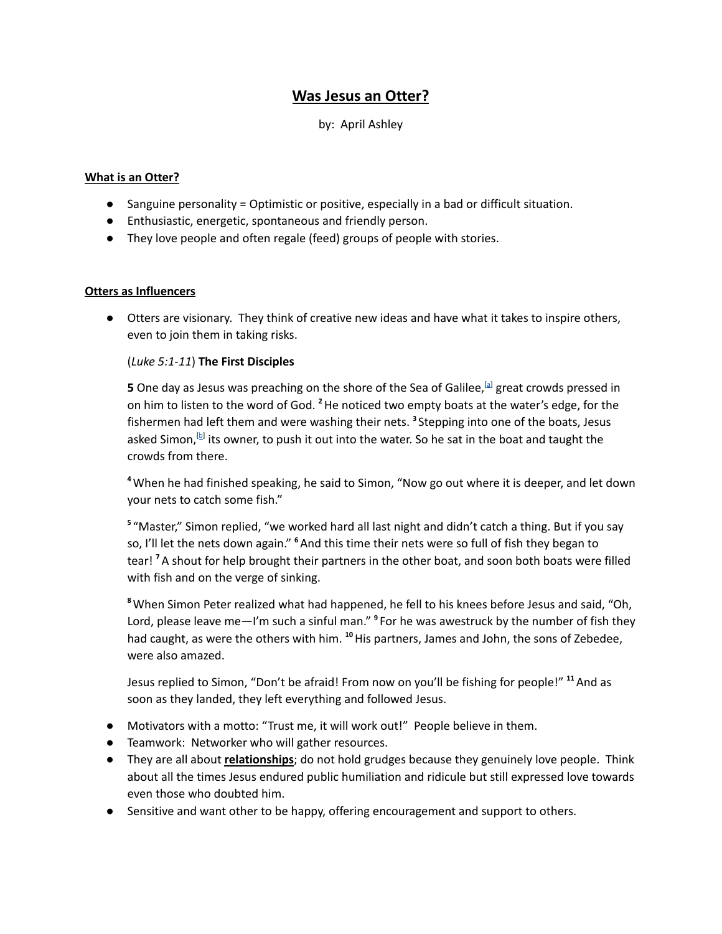# **Was Jesus an Otter?**

# by: April Ashley

## **What is an Otter?**

- Sanguine personality = Optimistic or positive, especially in a bad or difficult situation.
- Enthusiastic, energetic, spontaneous and friendly person.
- They love people and often regale (feed) groups of people with stories.

## **Otters as Influencers**

● Otters are visionary. They think of creative new ideas and have what it takes to inspire others, even to join them in taking risks.

# (*Luke 5:1-11*) **The First Disciples**

**5** One day as Jesus was preaching on the shore of the Sea of Galilee,<sup>[\[a](https://www.biblegateway.com/passage/?search=Luke+5%3A1-11&version=NLT#fen-NLT-25077a)]</sup> great crowds pressed in on him to listen to the word of God. **<sup>2</sup>**He noticed two empty boats at the water's edge, for the fishermen had left them and were washing their nets. **<sup>3</sup>** Stepping into one of the boats, Jesus asked Simon,<sup>[[b](https://www.biblegateway.com/passage/?search=Luke+5%3A1-11&version=NLT#fen-NLT-25079b)]</sup> its owner, to push it out into the water. So he sat in the boat and taught the crowds from there.

**<sup>4</sup>**When he had finished speaking, he said to Simon, "Now go out where it is deeper, and let down your nets to catch some fish."

**<sup>5</sup>** "Master," Simon replied, "we worked hard all last night and didn't catch a thing. But if you say so, I'll let the nets down again." **<sup>6</sup>**And this time their nets were so full of fish they began to tear! **<sup>7</sup>**A shout for help brought their partners in the other boat, and soon both boats were filled with fish and on the verge of sinking.

**<sup>8</sup>**When Simon Peter realized what had happened, he fell to his knees before Jesus and said, "Oh, Lord, please leave me—I'm such a sinful man." **<sup>9</sup>** For he was awestruck by the number of fish they had caught, as were the others with him. <sup>10</sup> His partners, James and John, the sons of Zebedee, were also amazed.

Jesus replied to Simon, "Don't be afraid! From now on you'll be fishing for people!" **<sup>11</sup>**And as soon as they landed, they left everything and followed Jesus.

- Motivators with a motto: "Trust me, it will work out!" People believe in them.
- Teamwork: Networker who will gather resources.
- They are all about **relationships**; do not hold grudges because they genuinely love people. Think about all the times Jesus endured public humiliation and ridicule but still expressed love towards even those who doubted him.
- Sensitive and want other to be happy, offering encouragement and support to others.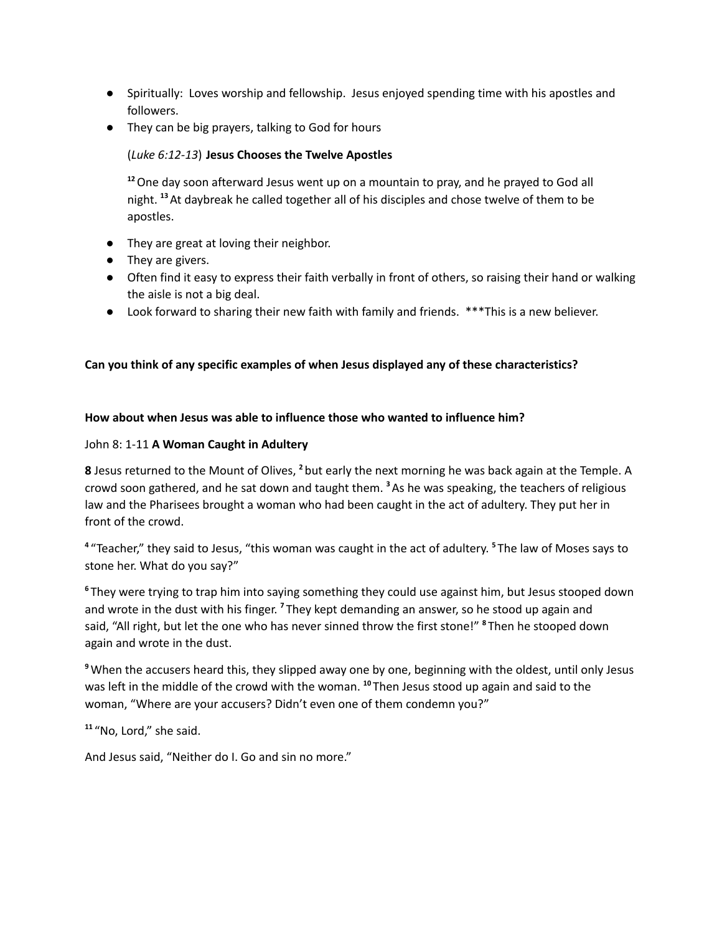- Spiritually: Loves worship and fellowship. Jesus enjoyed spending time with his apostles and followers.
- **●** They can be big prayers, talking to God for hours

# (*Luke 6:12-13*) **Jesus Chooses the Twelve Apostles**

**<sup>12</sup>**One day soon afterward Jesus went up on a mountain to pray, and he prayed to God all night. **<sup>13</sup>**At daybreak he called together all of his disciples and chose twelve of them to be apostles.

- They are great at loving their neighbor.
- They are givers.
- Often find it easy to express their faith verbally in front of others, so raising their hand or walking the aisle is not a big deal.
- Look forward to sharing their new faith with family and friends. \*\*\*This is a new believer.

# **Can you think of any specific examples of when Jesus displayed any of these characteristics?**

# **How about when Jesus was able to influence those who wanted to influence him?**

## John 8: 1-11 **A Woman Caught in Adultery**

**8** Jesus returned to the Mount of Olives, <sup>2</sup> but early the next morning he was back again at the Temple. A crowd soon gathered, and he sat down and taught them. **<sup>3</sup>**As he was speaking, the teachers of religious law and the Pharisees brought a woman who had been caught in the act of adultery. They put her in front of the crowd.

**<sup>4</sup>** "Teacher," they said to Jesus, "this woman was caught in the act of adultery. **<sup>5</sup>** The law of Moses says to stone her. What do you say?"

**<sup>6</sup>** They were trying to trap him into saying something they could use against him, but Jesus stooped down and wrote in the dust with his finger. **<sup>7</sup>** They kept demanding an answer, so he stood up again and said, "All right, but let the one who has never sinned throw the first stone!" **<sup>8</sup>** Then he stooped down again and wrote in the dust.

**<sup>9</sup>**When the accusers heard this, they slipped away one by one, beginning with the oldest, until only Jesus was left in the middle of the crowd with the woman. <sup>10</sup> Then Jesus stood up again and said to the woman, "Where are your accusers? Didn't even one of them condemn you?"

**<sup>11</sup>** "No, Lord," she said.

And Jesus said, "Neither do I. Go and sin no more."